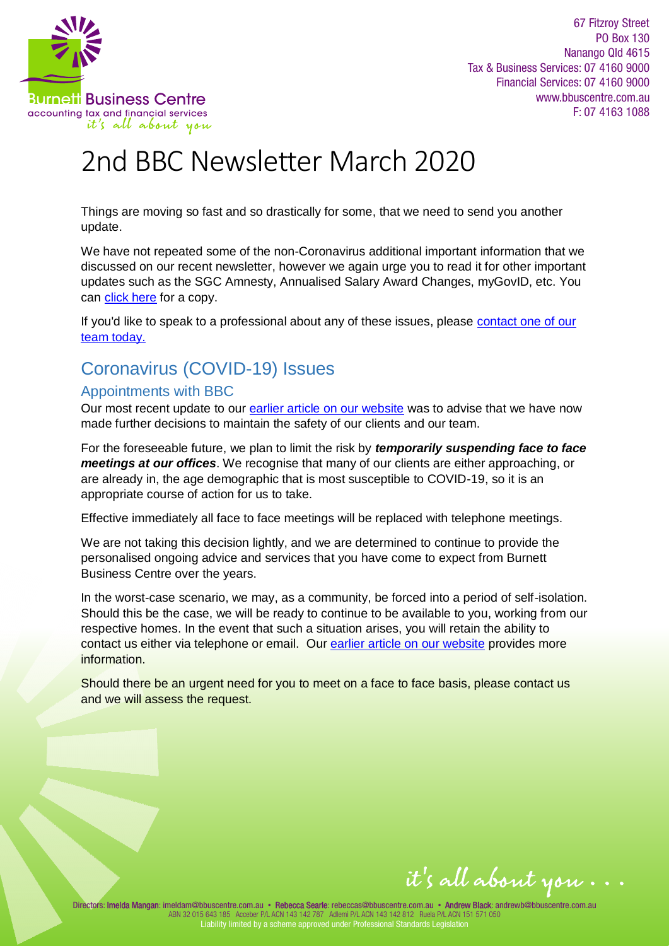

67 Fitzroy Street PO Box 130 Nanango Qld 4615 Tax & Business Services: 07 4160 9000 Financial Services: 07 4160 9000 www.bbuscentre.com.au  $F: 0741631088$ 

# 2nd BBC Newsletter March 2020

Things are moving so fast and so drastically for some, that we need to send you another update.

We have not repeated some of the non-Coronavirus additional important information that we discussed on our recent newsletter, however we again urge you to read it for other important updates such as the SGC Amnesty, Annualised Salary Award Changes, myGovID, etc. You can [click here](https://www.bbuscentre.com.au/wp-content/uploads/2020/03/2020-03b-BBC-Newsletter-LH.pdf) for a copy.

If you'd like to speak to a professional about any of these issues, please [contact one of our](https://www.vision6.com.au/ch/28000/2ccvsw7/2316496/F93KKNOOekGcvr0kCnGAIIJWXs4tCEgsOMBxSMo..html)  [team today.](https://www.vision6.com.au/ch/28000/2ccvsw7/2316496/F93KKNOOekGcvr0kCnGAIIJWXs4tCEgsOMBxSMo..html) 

# Coronavirus (COVID-19) Issues

## Appointments with BBC

Our most recent update to our [earlier article on our website](https://www.bbuscentre.com.au/coronavirus-bbc/) was to advise that we have now made further decisions to maintain the safety of our clients and our team.

For the foreseeable future, we plan to limit the risk by *temporarily suspending face to face meetings at our offices*. We recognise that many of our clients are either approaching, or are already in, the age demographic that is most susceptible to COVID-19, so it is an appropriate course of action for us to take.

Effective immediately all face to face meetings will be replaced with telephone meetings.

We are not taking this decision lightly, and we are determined to continue to provide the personalised ongoing advice and services that you have come to expect from Burnett Business Centre over the years.

In the worst-case scenario, we may, as a community, be forced into a period of self-isolation. Should this be the case, we will be ready to continue to be available to you, working from our respective homes. In the event that such a situation arises, you will retain the ability to contact us either via telephone or email. Ou[r earlier article on our website](https://www.bbuscentre.com.au/coronavirus-bbc/) provides more information.

Should there be an urgent need for you to meet on a face to face basis, please contact us and we will assess the request.

it's all about you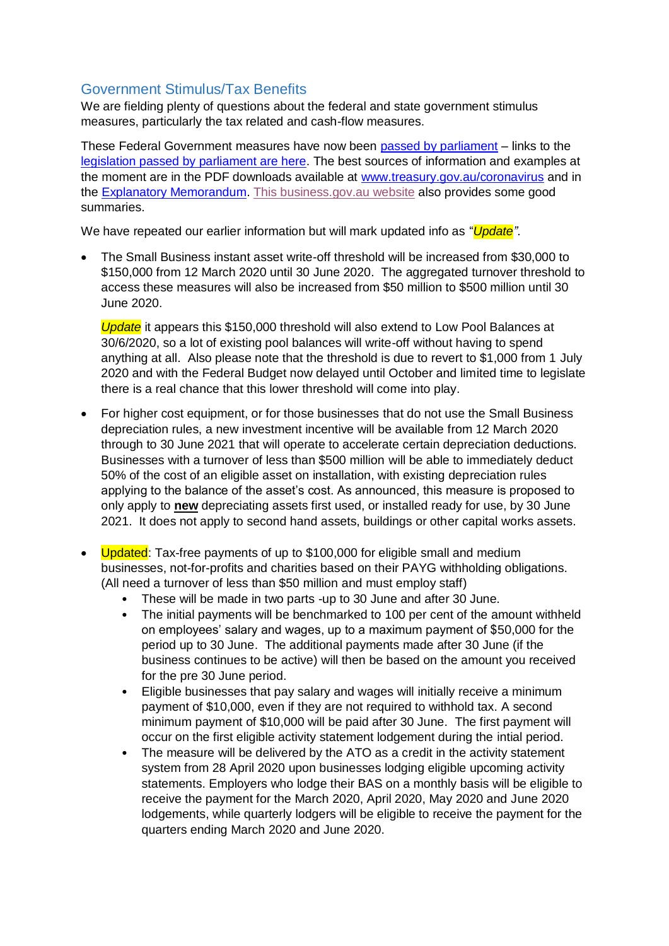# Government Stimulus/Tax Benefits

We are fielding plenty of questions about the federal and state government stimulus measures, particularly the tax related and cash-flow measures.

These Federal Government measures have now been [passed by parliament](https://www.abc.net.au/news/2020-03-23/coronavirus-economic-stimulus-passes-parliament/12080388) – links to the [legislation passed by parliament are here.](https://www.aph.gov.au/Parliamentary_Business/Bills_Legislation/Bills_Search_Results?__VIEWSTATEGENERATOR=20B6B7A5&st=2&sr=0&q=corona&ito=1&expand=False&drvH=7&drt=2&pnu=46&pnuH=46&f=02%2F07%2F2019&to=23%2F03%2F2020&pf=dd%2Fmm%2Fyyyy&pto=dd%2Fmm%2Fyyyy&bs=1&pbh=1&bhor=1&pmb=1&g=1) The best sources of information and examples at the moment are in the PDF downloads available at [www.treasury.gov.au/coronavirus](http://www.treasury.gov.au/coronavirus) and in the [Explanatory Memorandum.](https://parlinfo.aph.gov.au/parlInfo/download/legislation/ems/r6521_ems_84ea9dda-1a44-44b8-878b-68c376cbed56/upload_pdf/734816.pdf;fileType=application%2Fpdf) [This business.gov.au website](https://www.business.gov.au/Risk-management/Emergency-management/Coronavirus-information-and-support-for-business) also provides some good summaries.

We have repeated our earlier information but will mark updated info as "*Update*".

 The Small Business instant asset write-off threshold will be increased from \$30,000 to \$150,000 from 12 March 2020 until 30 June 2020. The aggregated turnover threshold to access these measures will also be increased from \$50 million to \$500 million until 30 June 2020.

*Update* it appears this \$150,000 threshold will also extend to Low Pool Balances at 30/6/2020, so a lot of existing pool balances will write-off without having to spend anything at all. Also please note that the threshold is due to revert to \$1,000 from 1 July 2020 and with the Federal Budget now delayed until October and limited time to legislate there is a real chance that this lower threshold will come into play.

- For higher cost equipment, or for those businesses that do not use the Small Business depreciation rules, a new investment incentive will be available from 12 March 2020 through to 30 June 2021 that will operate to accelerate certain depreciation deductions. Businesses with a turnover of less than \$500 million will be able to immediately deduct 50% of the cost of an eligible asset on installation, with existing depreciation rules applying to the balance of the asset's cost. As announced, this measure is proposed to only apply to **new** depreciating assets first used, or installed ready for use, by 30 June 2021. It does not apply to second hand assets, buildings or other capital works assets.
- Updated: Tax-free payments of up to \$100,000 for eligible small and medium businesses, not-for-profits and charities based on their PAYG withholding obligations. (All need a turnover of less than \$50 million and must employ staff)
	- These will be made in two parts -up to 30 June and after 30 June.
	- The initial payments will be benchmarked to 100 per cent of the amount withheld on employees' salary and wages, up to a maximum payment of \$50,000 for the period up to 30 June. The additional payments made after 30 June (if the business continues to be active) will then be based on the amount you received for the pre 30 June period.
	- Eligible businesses that pay salary and wages will initially receive a minimum payment of \$10,000, even if they are not required to withhold tax. A second minimum payment of \$10,000 will be paid after 30 June. The first payment will occur on the first eligible activity statement lodgement during the intial period.
	- The measure will be delivered by the ATO as a credit in the activity statement system from 28 April 2020 upon businesses lodging eligible upcoming activity statements. Employers who lodge their BAS on a monthly basis will be eligible to receive the payment for the March 2020, April 2020, May 2020 and June 2020 lodgements, while quarterly lodgers will be eligible to receive the payment for the quarters ending March 2020 and June 2020.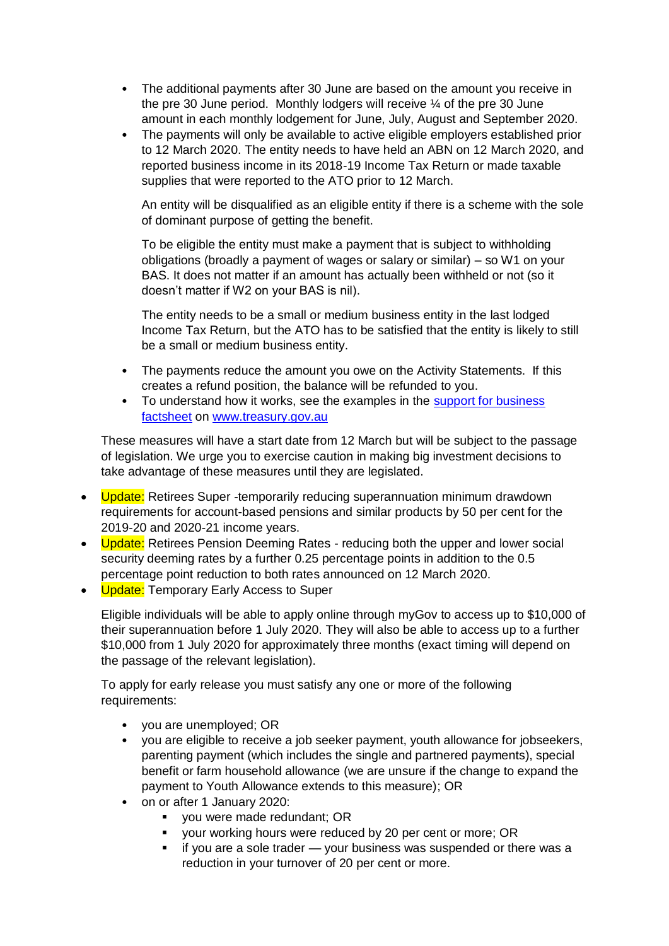- The additional payments after 30 June are based on the amount you receive in the pre 30 June period. Monthly lodgers will receive ¼ of the pre 30 June amount in each monthly lodgement for June, July, August and September 2020.
- The payments will only be available to active eligible employers established prior to 12 March 2020. The entity needs to have held an ABN on 12 March 2020, and reported business income in its 2018-19 Income Tax Return or made taxable supplies that were reported to the ATO prior to 12 March.

An entity will be disqualified as an eligible entity if there is a scheme with the sole of dominant purpose of getting the benefit.

To be eligible the entity must make a payment that is subject to withholding obligations (broadly a payment of wages or salary or similar) – so W1 on your BAS. It does not matter if an amount has actually been withheld or not (so it doesn't matter if W2 on your BAS is nil).

The entity needs to be a small or medium business entity in the last lodged Income Tax Return, but the ATO has to be satisfied that the entity is likely to still be a small or medium business entity.

- The payments reduce the amount you owe on the Activity Statements. If this creates a refund position, the balance will be refunded to you.
- To understand how it works, see the examples in the support for business [factsheet](https://treasury.gov.au/sites/default/files/2020-03/Fact_sheet-Cash_flow_assistance_for_businesses_0.pdf) o[n www.treasury.gov.au](https://treasury.gov.au/)

These measures will have a start date from 12 March but will be subject to the passage of legislation. We urge you to exercise caution in making big investment decisions to take advantage of these measures until they are legislated.

- Update: Retirees Super -temporarily reducing superannuation minimum drawdown requirements for account-based pensions and similar products by 50 per cent for the 2019-20 and 2020-21 income years.
- Update: Retirees Pension Deeming Rates reducing both the upper and lower social security deeming rates by a further 0.25 percentage points in addition to the 0.5 percentage point reduction to both rates announced on 12 March 2020.
- Update: Temporary Early Access to Super

Eligible individuals will be able to apply online through myGov to access up to \$10,000 of their superannuation before 1 July 2020. They will also be able to access up to a further \$10,000 from 1 July 2020 for approximately three months (exact timing will depend on the passage of the relevant legislation).

To apply for early release you must satisfy any one or more of the following requirements:

- you are unemployed; OR
- you are eligible to receive a job seeker payment, youth allowance for jobseekers, parenting payment (which includes the single and partnered payments), special benefit or farm household allowance (we are unsure if the change to expand the payment to Youth Allowance extends to this measure); OR
- on or after 1 January 2020:
	- you were made redundant; OR
	- your working hours were reduced by 20 per cent or more; OR
	- **i** if you are a sole trader your business was suspended or there was a reduction in your turnover of 20 per cent or more.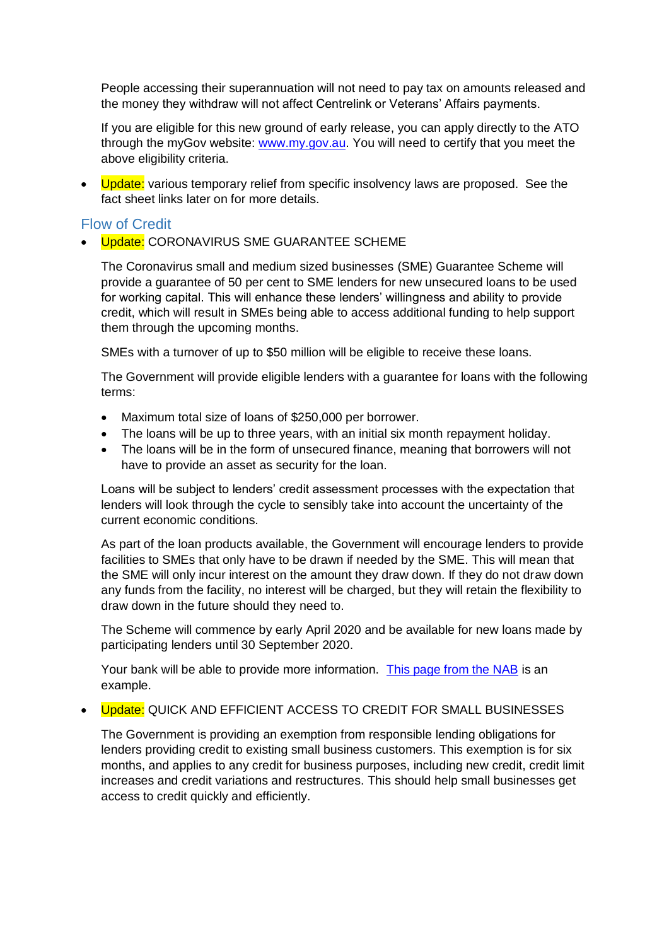People accessing their superannuation will not need to pay tax on amounts released and the money they withdraw will not affect Centrelink or Veterans' Affairs payments.

If you are eligible for this new ground of early release, you can apply directly to the ATO through the myGov website[: www.my.gov.au.](http://www.my.gov.au/) You will need to certify that you meet the above eligibility criteria.

• Update: various temporary relief from specific insolvency laws are proposed. See the fact sheet links later on for more details.

#### Flow of Credit

• Update: CORONAVIRUS SME GUARANTEE SCHEME

The Coronavirus small and medium sized businesses (SME) Guarantee Scheme will provide a guarantee of 50 per cent to SME lenders for new unsecured loans to be used for working capital. This will enhance these lenders' willingness and ability to provide credit, which will result in SMEs being able to access additional funding to help support them through the upcoming months.

SMEs with a turnover of up to \$50 million will be eligible to receive these loans.

The Government will provide eligible lenders with a guarantee for loans with the following terms:

- Maximum total size of loans of \$250,000 per borrower.
- The loans will be up to three years, with an initial six month repayment holiday.
- The loans will be in the form of unsecured finance, meaning that borrowers will not have to provide an asset as security for the loan.

Loans will be subject to lenders' credit assessment processes with the expectation that lenders will look through the cycle to sensibly take into account the uncertainty of the current economic conditions.

As part of the loan products available, the Government will encourage lenders to provide facilities to SMEs that only have to be drawn if needed by the SME. This will mean that the SME will only incur interest on the amount they draw down. If they do not draw down any funds from the facility, no interest will be charged, but they will retain the flexibility to draw down in the future should they need to.

The Scheme will commence by early April 2020 and be available for new loans made by participating lenders until 30 September 2020.

Your bank will be able to provide more information. [This page from the NAB](https://www.nab.com.au/personal/customer-support/covid19-help/business-support) is an example.

#### • Update: QUICK AND EFFICIENT ACCESS TO CREDIT FOR SMALL BUSINESSES

The Government is providing an exemption from responsible lending obligations for lenders providing credit to existing small business customers. This exemption is for six months, and applies to any credit for business purposes, including new credit, credit limit increases and credit variations and restructures. This should help small businesses get access to credit quickly and efficiently.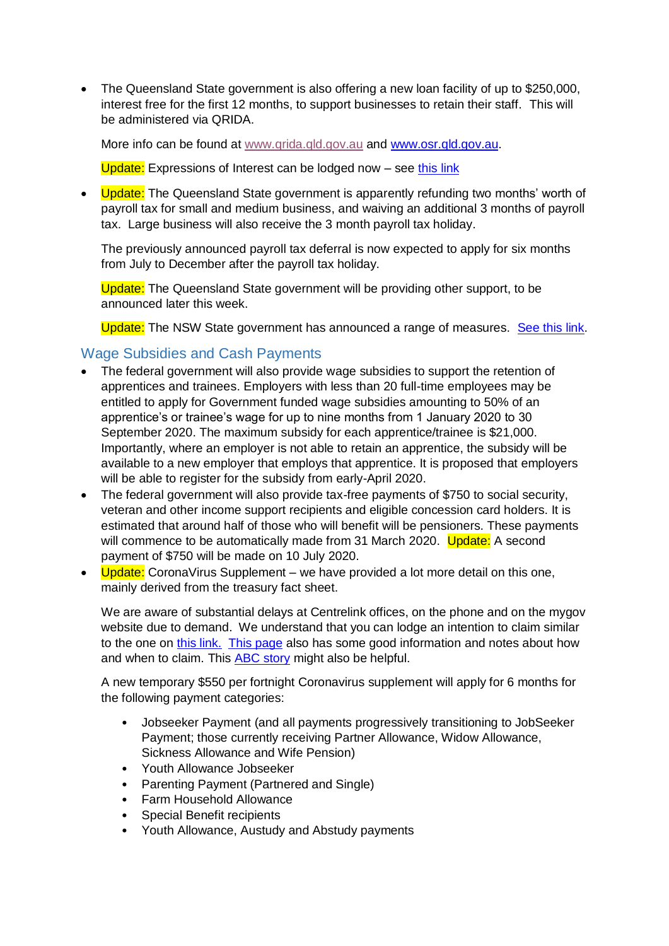The Queensland State government is also offering a new loan facility of up to \$250,000, interest free for the first 12 months, to support businesses to retain their staff. This will be administered via QRIDA.

More info can be found at [www.qrida.qld.gov.au](http://www.qrida.qld.gov.au/) and [www.osr.qld.gov.au.](http://www.osr.qld.gov.au/)

Update: Expressions of Interest can be lodged now – se[e this link](http://www.qrida.qld.gov.au/current-programs/covid-19-business-support/queensland-covid19-jobs-support-scheme)

• Update: The Queensland State government is apparently refunding two months' worth of payroll tax for small and medium business, and waiving an additional 3 months of payroll tax. Large business will also receive the 3 month payroll tax holiday.

The previously announced payroll tax deferral is now expected to apply for six months from July to December after the payroll tax holiday.

Update: The Queensland State government will be providing other support, to be announced later this week.

Update: The NSW State government has announced a range of measures. [See this link.](https://preview.nsw.gov.au/news/health-boost-and-economic-stimulus)

#### Wage Subsidies and Cash Payments

- The federal government will also provide wage subsidies to support the retention of apprentices and trainees. Employers with less than 20 full-time employees may be entitled to apply for Government funded wage subsidies amounting to 50% of an apprentice's or trainee's wage for up to nine months from 1 January 2020 to 30 September 2020. The maximum subsidy for each apprentice/trainee is \$21,000. Importantly, where an employer is not able to retain an apprentice, the subsidy will be available to a new employer that employs that apprentice. It is proposed that employers will be able to register for the subsidy from early-April 2020.
- The federal government will also provide tax-free payments of \$750 to social security, veteran and other income support recipients and eligible concession card holders. It is estimated that around half of those who will benefit will be pensioners. These payments will commence to be automatically made from 31 March 2020. Update: A second payment of \$750 will be made on 10 July 2020.
- $\bullet$  Update: Corona Virus Supplement we have provided a lot more detail on this one, mainly derived from the treasury fact sheet.

We are aware of substantial delays at Centrelink offices, on the phone and on the mygov website due to demand. We understand that you can lodge an intention to claim similar to the one on [this link.](https://www.servicesaustralia.gov.au/individuals/services/centrelink/jobseeker-payment/how-claim) [This page](https://www.servicesaustralia.gov.au/individuals/news/more-financial-support-coronavirus-affected-job-seekers) also has some good information and notes about how and when to claim. This [ABC story](https://www.abc.net.au/news/2020-03-23/coronavirus-supplement-payment-what-is-it-and-how-to-apply/12080326) might also be helpful.

A new temporary \$550 per fortnight Coronavirus supplement will apply for 6 months for the following payment categories:

- Jobseeker Payment (and all payments progressively transitioning to JobSeeker Payment; those currently receiving Partner Allowance, Widow Allowance, Sickness Allowance and Wife Pension)
- Youth Allowance Jobseeker
- Parenting Payment (Partnered and Single)
- Farm Household Allowance
- Special Benefit recipients
- Youth Allowance, Austudy and Abstudy payments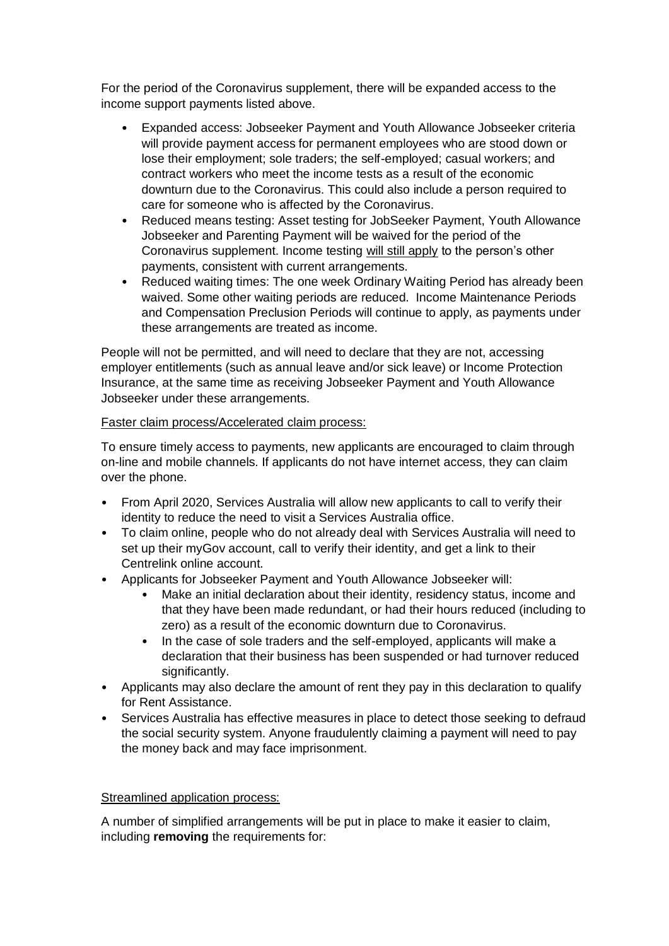For the period of the Coronavirus supplement, there will be expanded access to the income support payments listed above.

- Expanded access: Jobseeker Payment and Youth Allowance Jobseeker criteria will provide payment access for permanent employees who are stood down or lose their employment; sole traders; the self-employed; casual workers; and contract workers who meet the income tests as a result of the economic downturn due to the Coronavirus. This could also include a person required to care for someone who is affected by the Coronavirus.
- Reduced means testing: Asset testing for JobSeeker Payment, Youth Allowance Jobseeker and Parenting Payment will be waived for the period of the Coronavirus supplement. Income testing will still apply to the person's other payments, consistent with current arrangements.
- Reduced waiting times: The one week Ordinary Waiting Period has already been waived. Some other waiting periods are reduced. Income Maintenance Periods and Compensation Preclusion Periods will continue to apply, as payments under these arrangements are treated as income.

People will not be permitted, and will need to declare that they are not, accessing employer entitlements (such as annual leave and/or sick leave) or Income Protection Insurance, at the same time as receiving Jobseeker Payment and Youth Allowance Jobseeker under these arrangements.

#### Faster claim process/Accelerated claim process:

To ensure timely access to payments, new applicants are encouraged to claim through on-line and mobile channels. If applicants do not have internet access, they can claim over the phone.

- From April 2020, Services Australia will allow new applicants to call to verify their identity to reduce the need to visit a Services Australia office.
- To claim online, people who do not already deal with Services Australia will need to set up their myGov account, call to verify their identity, and get a link to their Centrelink online account.
- Applicants for Jobseeker Payment and Youth Allowance Jobseeker will:
	- Make an initial declaration about their identity, residency status, income and that they have been made redundant, or had their hours reduced (including to zero) as a result of the economic downturn due to Coronavirus.
	- In the case of sole traders and the self-employed, applicants will make a declaration that their business has been suspended or had turnover reduced significantly.
- Applicants may also declare the amount of rent they pay in this declaration to qualify for Rent Assistance.
- Services Australia has effective measures in place to detect those seeking to defraud the social security system. Anyone fraudulently claiming a payment will need to pay the money back and may face imprisonment.

#### Streamlined application process:

A number of simplified arrangements will be put in place to make it easier to claim, including **removing** the requirements for: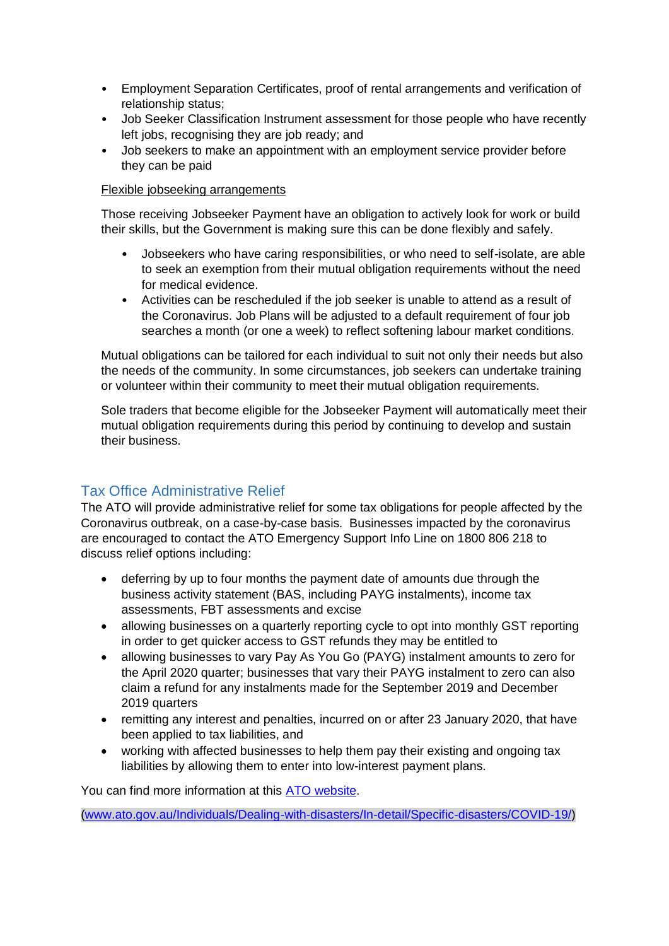- Employment Separation Certificates, proof of rental arrangements and verification of relationship status;
- Job Seeker Classification Instrument assessment for those people who have recently left jobs, recognising they are job ready; and
- Job seekers to make an appointment with an employment service provider before they can be paid

#### Flexible jobseeking arrangements

Those receiving Jobseeker Payment have an obligation to actively look for work or build their skills, but the Government is making sure this can be done flexibly and safely.

- Jobseekers who have caring responsibilities, or who need to self-isolate, are able to seek an exemption from their mutual obligation requirements without the need for medical evidence.
- Activities can be rescheduled if the job seeker is unable to attend as a result of the Coronavirus. Job Plans will be adjusted to a default requirement of four job searches a month (or one a week) to reflect softening labour market conditions.

Mutual obligations can be tailored for each individual to suit not only their needs but also the needs of the community. In some circumstances, job seekers can undertake training or volunteer within their community to meet their mutual obligation requirements.

Sole traders that become eligible for the Jobseeker Payment will automatically meet their mutual obligation requirements during this period by continuing to develop and sustain their business.

# Tax Office Administrative Relief

The ATO will provide administrative relief for some tax obligations for people affected by the Coronavirus outbreak, on a case-by-case basis. Businesses impacted by the coronavirus are encouraged to contact the ATO Emergency Support Info Line on 1800 806 218 to discuss relief options including:

- deferring by up to four months the payment date of amounts due through the business activity statement (BAS, including PAYG instalments), income tax assessments, FBT assessments and excise
- allowing businesses on a quarterly reporting cycle to opt into monthly GST reporting in order to get quicker access to GST refunds they may be entitled to
- allowing businesses to vary Pay As You Go (PAYG) instalment amounts to zero for the April 2020 quarter; businesses that vary their PAYG instalment to zero can also claim a refund for any instalments made for the September 2019 and December 2019 quarters
- remitting any interest and penalties, incurred on or after 23 January 2020, that have been applied to tax liabilities, and
- working with affected businesses to help them pay their existing and ongoing tax liabilities by allowing them to enter into low-interest payment plans.

You can find more information at thi[s ATO website.](https://www.ato.gov.au/Individuals/Dealing-with-disasters/In-detail/Specific-disasters/COVID-19/)

[\(www.ato.gov.au/Individuals/Dealing-with-disasters/In-detail/Specific-disasters/COVID-19/\)](http://www.ato.gov.au/Individuals/Dealing-with-disasters/In-detail/Specific-disasters/COVID-19/)